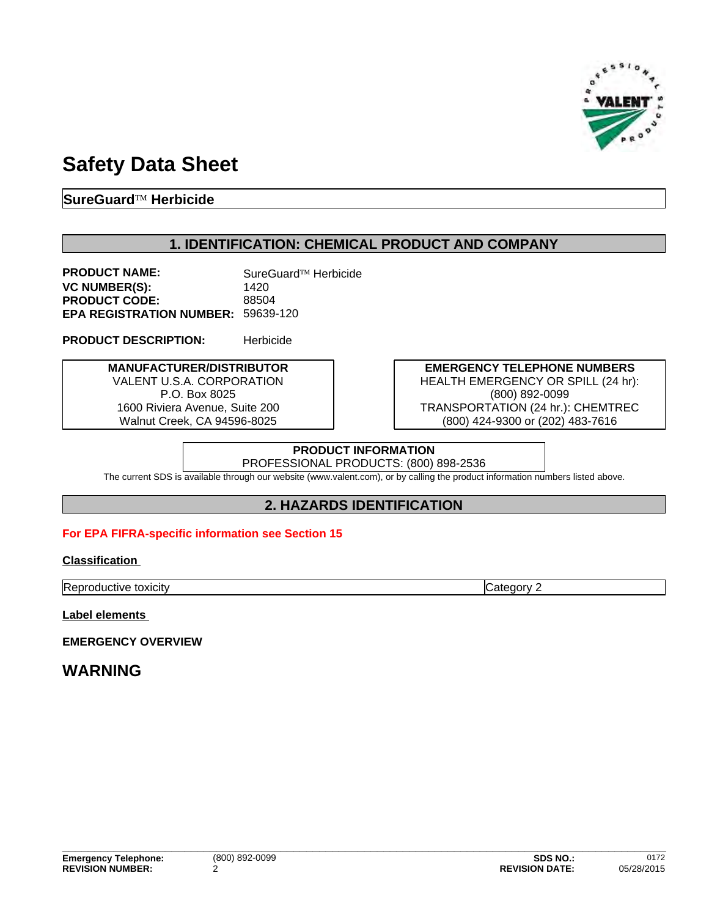

# **Safety Data Sheet**

## **SureGuardÔ Herbicide**

## **1. IDENTIFICATION: CHEMICAL PRODUCT AND COMPANY**

**PRODUCT NAME:** SureGuard™ Herbicide **VC NUMBER(S):** 1420 PRODUCT CODE: 88504 **EPA REGISTRATION NUMBER:** 59639-120

**PRODUCT DESCRIPTION:** Herbicide

**MANUFACTURER/DISTRIBUTOR** VALENT U.S.A. CORPORATION P.O. Box 8025 1600 Riviera Avenue, Suite 200 Walnut Creek, CA 94596-8025

**EMERGENCY TELEPHONE NUMBERS** HEALTH EMERGENCY OR SPILL (24 hr): (800) 892-0099 TRANSPORTATION (24 hr.): CHEMTREC (800) 424-9300 or (202) 483-7616

### **PRODUCT INFORMATION** PROFESSIONAL PRODUCTS: (800) 898-2536

The current SDS is available through our website (www.valent.com), or by calling the product information numbers listed above.

## **2. HAZARDS IDENTIFICATION**

### **For EPA FIFRA-specific information see Section 15**

### **Classification**

**Reproductive toxicity** Category 2

**Label elements** 

**EMERGENCY OVERVIEW**

## **WARNING**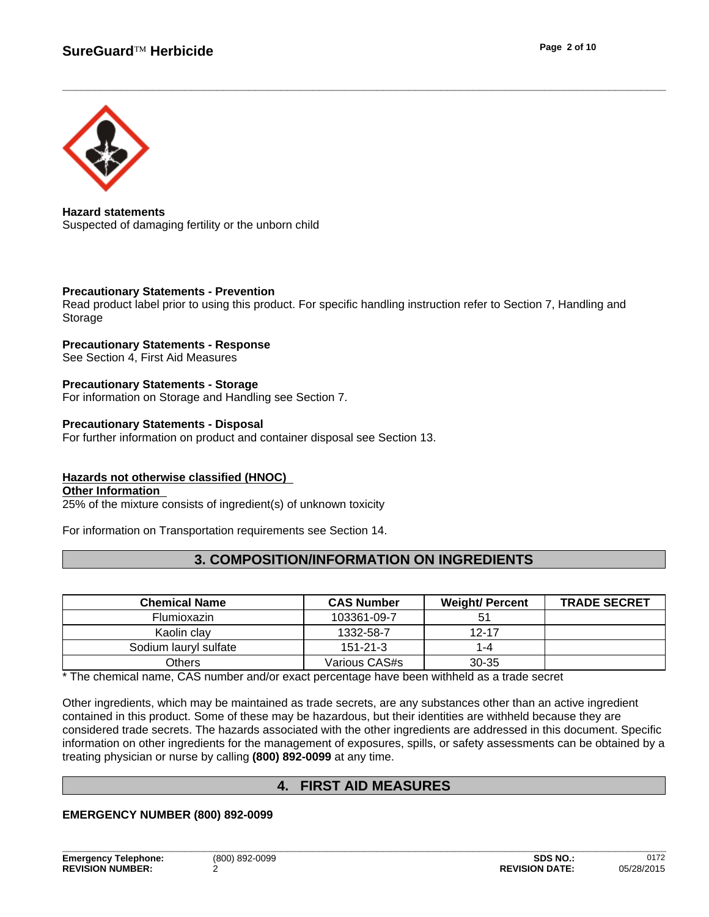

**Hazard statements** Suspected of damaging fertility or the unborn child

#### **Precautionary Statements - Prevention**

Read product label prior to using this product. For specific handling instruction refer to Section 7, Handling and Storage

### **Precautionary Statements - Response**

See Section 4, First Aid Measures

## **Precautionary Statements - Storage**

For information on Storage and Handling see Section 7.

### **Precautionary Statements - Disposal**

For further information on product and container disposal see Section 13.

## **Hazards not otherwise classified (HNOC)**

**Other Information** 

25% of the mixture consists of ingredient(s) of unknown toxicity

For information on Transportation requirements see Section 14.

## **3. COMPOSITION/INFORMATION ON INGREDIENTS**

| <b>Chemical Name</b>  | <b>CAS Number</b> | <b>Weight/ Percent</b> | <b>TRADE SECRET</b> |
|-----------------------|-------------------|------------------------|---------------------|
| <b>Flumioxazin</b>    | 103361-09-7       |                        |                     |
| Kaolin clav           | 1332-58-7         | $12 - 17$              |                     |
| Sodium lauryl sulfate | $151 - 21 - 3$    | l -4                   |                     |
| Others                | Various CAS#s     | $30 - 35$              |                     |

\* The chemical name, CAS number and/or exact percentage have been withheld as a trade secret

Other ingredients, which may be maintained as trade secrets, are any substances other than an active ingredient contained in this product. Some of these may be hazardous, but their identities are withheld because they are considered trade secrets. The hazards associated with the other ingredients are addressed in this document. Specific information on other ingredients for the management of exposures, spills, or safety assessments can be obtained by a treating physician or nurse by calling **(800) 892-0099** at any time.

## **4. FIRST AID MEASURES**

### **EMERGENCY NUMBER (800) 892-0099**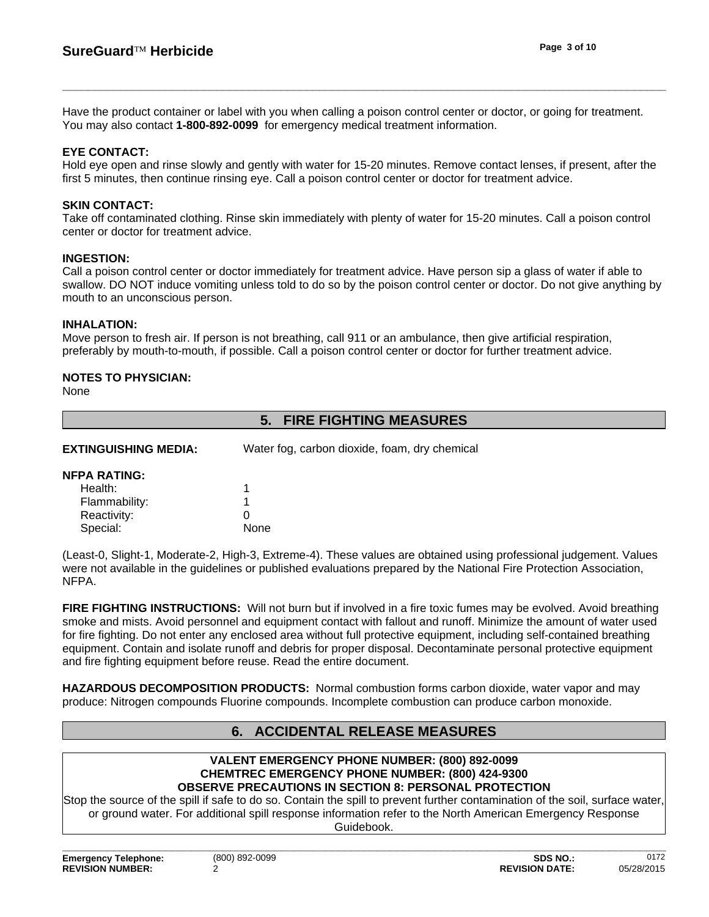Have the product container or label with you when calling a poison control center or doctor, or going for treatment. You may also contact **1-800-892-0099** for emergency medical treatment information.

#### **EYE CONTACT:**

Hold eye open and rinse slowly and gently with water for 15-20 minutes. Remove contact lenses, if present, after the first 5 minutes, then continue rinsing eye. Call a poison control center or doctor for treatment advice.

#### **SKIN CONTACT:**

Take off contaminated clothing. Rinse skin immediately with plenty of water for 15-20 minutes. Call a poison control center or doctor for treatment advice.

#### **INGESTION:**

Call a poison control center or doctor immediately for treatment advice. Have person sip a glass of water if able to swallow. DO NOT induce vomiting unless told to do so by the poison control center or doctor. Do not give anything by mouth to an unconscious person.

#### **INHALATION:**

Move person to fresh air. If person is not breathing, call 911 or an ambulance, then give artificial respiration, preferably by mouth-to-mouth, if possible. Call a poison control center or doctor for further treatment advice.

### **NOTES TO PHYSICIAN:**

None

|                             | <b>FIRE FIGHTING MEASURES</b><br>5.           |  |
|-----------------------------|-----------------------------------------------|--|
| <b>EXTINGUISHING MEDIA:</b> | Water fog, carbon dioxide, foam, dry chemical |  |
| <b>NFPA RATING:</b>         |                                               |  |
| Health:                     |                                               |  |
| Flammability:               |                                               |  |
| Reactivity:                 | 0                                             |  |
| Special:                    | None                                          |  |

(Least-0, Slight-1, Moderate-2, High-3, Extreme-4). These values are obtained using professional judgement. Values were not available in the guidelines or published evaluations prepared by the National Fire Protection Association, NFPA.

**FIRE FIGHTING INSTRUCTIONS:** Will not burn but if involved in a fire toxic fumes may be evolved. Avoid breathing smoke and mists. Avoid personnel and equipment contact with fallout and runoff. Minimize the amount of water used for fire fighting. Do not enter any enclosed area without full protective equipment, including self-contained breathing equipment. Contain and isolate runoff and debris for proper disposal. Decontaminate personal protective equipment and fire fighting equipment before reuse. Read the entire document.

**HAZARDOUS DECOMPOSITION PRODUCTS:** Normal combustion forms carbon dioxide, water vapor and may produce: Nitrogen compounds Fluorine compounds. Incomplete combustion can produce carbon monoxide.

## **6. ACCIDENTAL RELEASE MEASURES**

#### **VALENT EMERGENCY PHONE NUMBER: (800) 892-0099 CHEMTREC EMERGENCY PHONE NUMBER: (800) 424-9300 OBSERVE PRECAUTIONS IN SECTION 8: PERSONAL PROTECTION**

Stop the source of the spill if safe to do so. Contain the spill to prevent further contamination of the soil, surface water, or ground water. For additional spill response information refer to the North American Emergency Response Guidebook.

**Emergency Telephone:** (800) 892-0099 **REVISION NUMBER:**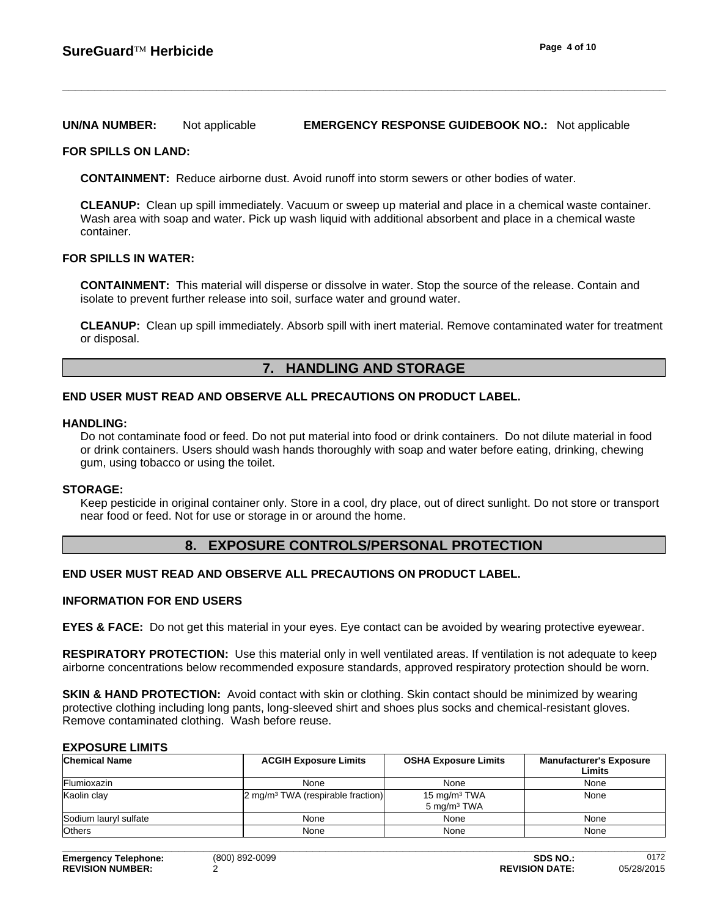#### **UN/NA NUMBER:** Not applicable **EMERGENCY RESPONSE GUIDEBOOK NO.:** Not applicable

#### **FOR SPILLS ON LAND:**

**CONTAINMENT:** Reduce airborne dust. Avoid runoff into storm sewers or other bodies of water.

**CLEANUP:** Clean up spill immediately. Vacuum or sweep up material and place in a chemical waste container. Wash area with soap and water. Pick up wash liquid with additional absorbent and place in a chemical waste container.

### **FOR SPILLS IN WATER:**

**CONTAINMENT:** This material will disperse or dissolve in water. Stop the source of the release. Contain and isolate to prevent further release into soil, surface water and ground water.

**CLEANUP:** Clean up spill immediately. Absorb spill with inert material. Remove contaminated water for treatment or disposal.

## **7. HANDLING AND STORAGE**

#### **END USER MUST READ AND OBSERVE ALL PRECAUTIONS ON PRODUCT LABEL.**

#### **HANDLING:**

Do not contaminate food or feed. Do not put material into food or drink containers. Do not dilute material in food or drink containers. Users should wash hands thoroughly with soap and water before eating, drinking, chewing gum, using tobacco or using the toilet.

#### **STORAGE:**

Keep pesticide in original container only. Store in a cool, dry place, out of direct sunlight. Do not store or transport near food or feed. Not for use or storage in or around the home.

### **8. EXPOSURE CONTROLS/PERSONAL PROTECTION**

### **END USER MUST READ AND OBSERVE ALL PRECAUTIONS ON PRODUCT LABEL.**

#### **INFORMATION FOR END USERS**

**EYES & FACE:** Do not get this material in your eyes. Eye contact can be avoided by wearing protective eyewear.

**RESPIRATORY PROTECTION:** Use this material only in well ventilated areas. If ventilation is not adequate to keep airborne concentrations below recommended exposure standards, approved respiratory protection should be worn.

**SKIN & HAND PROTECTION:** Avoid contact with skin or clothing. Skin contact should be minimized by wearing protective clothing including long pants, long-sleeved shirt and shoes plus socks and chemical-resistant gloves. Remove contaminated clothing. Wash before reuse.

#### **EXPOSURE LIMITS**

| <b>Chemical Name</b>  | <b>ACGIH Exposure Limits</b>                  | <b>OSHA Exposure Limits</b>                | <b>Manufacturer's Exposure</b><br>Limits |
|-----------------------|-----------------------------------------------|--------------------------------------------|------------------------------------------|
| Flumioxazin           | None                                          | None                                       | None                                     |
| Kaolin clay           | 2 mg/m <sup>3</sup> TWA (respirable fraction) | 15 mg/m $3$ TWA<br>5 mg/m <sup>3</sup> TWA | None                                     |
| Sodium lauryl sulfate | None                                          | None                                       | None                                     |
| <b>Others</b>         | None                                          | None                                       | None                                     |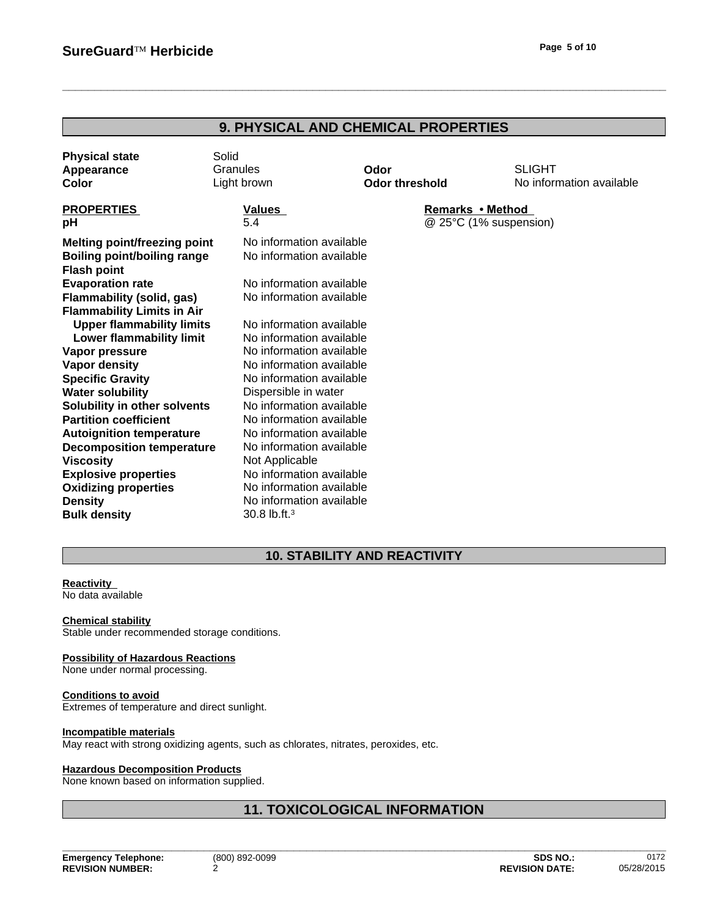| <b>9. PHYSICAL AND CHEMICAL PROPERTIES</b> |  |
|--------------------------------------------|--|
|--------------------------------------------|--|

| <b>Physical state</b><br>Appearance<br>Color             | Solid<br>Granules<br>Light brown | Odor<br><b>Odor threshold</b> | <b>SLIGHT</b><br>No information available |
|----------------------------------------------------------|----------------------------------|-------------------------------|-------------------------------------------|
|                                                          |                                  |                               |                                           |
| <b>PROPERTIES</b>                                        | Values                           |                               | Remarks • Method                          |
| рH                                                       | 5.4                              |                               | @ 25°C (1% suspension)                    |
| <b>Melting point/freezing point</b>                      | No information available         |                               |                                           |
| <b>Boiling point/boiling range</b><br><b>Flash point</b> | No information available         |                               |                                           |
| <b>Evaporation rate</b>                                  | No information available         |                               |                                           |
| <b>Flammability (solid, gas)</b>                         | No information available         |                               |                                           |
| <b>Flammability Limits in Air</b>                        |                                  |                               |                                           |
| <b>Upper flammability limits</b>                         | No information available         |                               |                                           |
| Lower flammability limit                                 | No information available         |                               |                                           |
| Vapor pressure                                           | No information available         |                               |                                           |
| <b>Vapor density</b>                                     | No information available         |                               |                                           |
| <b>Specific Gravity</b>                                  | No information available         |                               |                                           |
| <b>Water solubility</b>                                  | Dispersible in water             |                               |                                           |
| Solubility in other solvents                             | No information available         |                               |                                           |
| <b>Partition coefficient</b>                             | No information available         |                               |                                           |
| <b>Autoignition temperature</b>                          | No information available         |                               |                                           |
| <b>Decomposition temperature</b>                         | No information available         |                               |                                           |
| <b>Viscosity</b>                                         | Not Applicable                   |                               |                                           |
| <b>Explosive properties</b>                              | No information available         |                               |                                           |
| <b>Oxidizing properties</b>                              | No information available         |                               |                                           |
| <b>Density</b>                                           | No information available         |                               |                                           |
| <b>Bulk density</b>                                      | 30.8 lb.ft. $3$                  |                               |                                           |
|                                                          |                                  |                               |                                           |

## **10. STABILITY AND REACTIVITY**

## **Reactivity**

No data available

**Chemical stability** Stable under recommended storage conditions.

#### **Possibility of Hazardous Reactions**

None under normal processing.

#### **Conditions to avoid** Extremes of temperature and direct sunlight.

#### **Incompatible materials**

May react with strong oxidizing agents, such as chlorates, nitrates, peroxides, etc.

#### **Hazardous Decomposition Products**

None known based on information supplied.

## **11. TOXICOLOGICAL INFORMATION**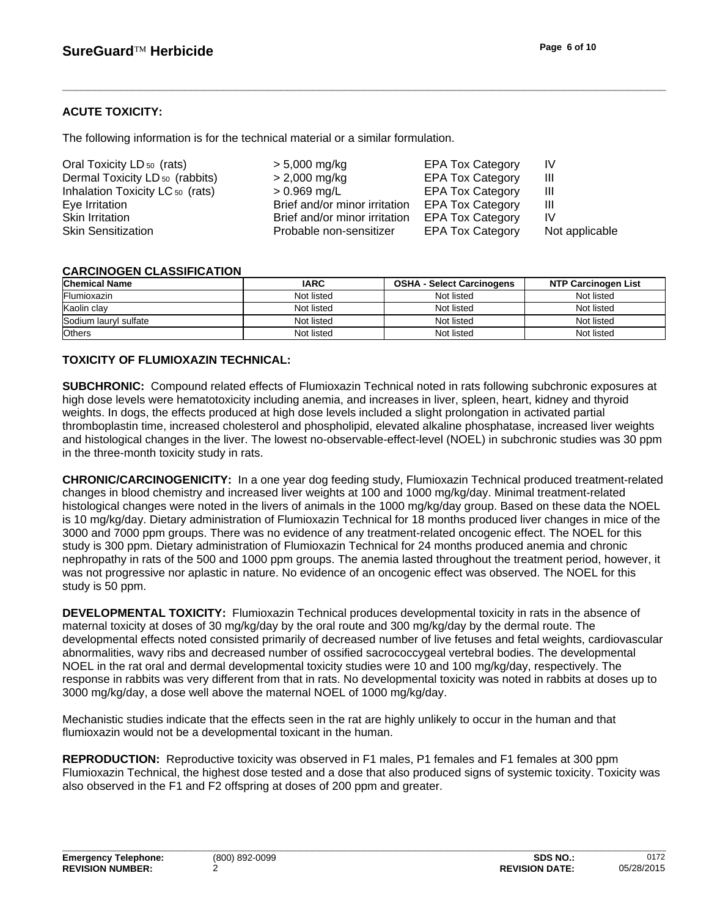## **ACUTE TOXICITY:**

The following information is for the technical material or a similar formulation.

| Oral Toxicity LD <sub>50</sub> (rats)      | > 5,000 mg/kg                                  | <b>EPA Tox Category</b> | IV.            |
|--------------------------------------------|------------------------------------------------|-------------------------|----------------|
| Dermal Toxicity LD <sub>50</sub> (rabbits) | > 2,000 mg/kg                                  | <b>EPA Tox Category</b> | Ш              |
| Inhalation Toxicity LC 50 (rats)           | $> 0.969$ mg/L                                 | <b>EPA Tox Category</b> | Ш              |
| Eye Irritation                             | Brief and/or minor irritation EPA Tox Category |                         | Ш              |
| Skin Irritation                            | Brief and/or minor irritation                  | <b>EPA Tox Category</b> | IV             |
| <b>Skin Sensitization</b>                  | Probable non-sensitizer                        | <b>EPA Tox Category</b> | Not applicable |

## **CARCINOGEN CLASSIFICATION**

| <b>Chemical Name</b>  | <b>IARC</b> | <b>OSHA - Select Carcinogens</b> | <b>NTP Carcinogen List</b> |
|-----------------------|-------------|----------------------------------|----------------------------|
| Flumioxazin           | Not listed  | Not listed                       | Not listed                 |
| Kaolin clay           | Not listed  | Not listed                       | Not listed                 |
| Sodium lauryl sulfate | Not listed  | Not listed                       | Not listed                 |
| <b>Others</b>         | Not listed  | Not listed                       | Not listed                 |

### **TOXICITY OF FLUMIOXAZIN TECHNICAL:**

**SUBCHRONIC:** Compound related effects of Flumioxazin Technical noted in rats following subchronic exposures at high dose levels were hematotoxicity including anemia, and increases in liver, spleen, heart, kidney and thyroid weights. In dogs, the effects produced at high dose levels included a slight prolongation in activated partial thromboplastin time, increased cholesterol and phospholipid, elevated alkaline phosphatase, increased liver weights and histological changes in the liver. The lowest no-observable-effect-level (NOEL) in subchronic studies was 30 ppm in the three-month toxicity study in rats.

**CHRONIC/CARCINOGENICITY:** In a one year dog feeding study, Flumioxazin Technical produced treatment-related changes in blood chemistry and increased liver weights at 100 and 1000 mg/kg/day. Minimal treatment-related histological changes were noted in the livers of animals in the 1000 mg/kg/day group. Based on these data the NOEL is 10 mg/kg/day. Dietary administration of Flumioxazin Technical for 18 months produced liver changes in mice of the 3000 and 7000 ppm groups. There was no evidence of any treatment-related oncogenic effect. The NOEL for this study is 300 ppm. Dietary administration of Flumioxazin Technical for 24 months produced anemia and chronic nephropathy in rats of the 500 and 1000 ppm groups. The anemia lasted throughout the treatment period, however, it was not progressive nor aplastic in nature. No evidence of an oncogenic effect was observed. The NOEL for this study is 50 ppm.

**DEVELOPMENTAL TOXICITY:** Flumioxazin Technical produces developmental toxicity in rats in the absence of maternal toxicity at doses of 30 mg/kg/day by the oral route and 300 mg/kg/day by the dermal route. The developmental effects noted consisted primarily of decreased number of live fetuses and fetal weights, cardiovascular abnormalities, wavy ribs and decreased number of ossified sacrococcygeal vertebral bodies. The developmental NOEL in the rat oral and dermal developmental toxicity studies were 10 and 100 mg/kg/day, respectively. The response in rabbits was very different from that in rats. No developmental toxicity was noted in rabbits at doses up to 3000 mg/kg/day, a dose well above the maternal NOEL of 1000 mg/kg/day.

Mechanistic studies indicate that the effects seen in the rat are highly unlikely to occur in the human and that flumioxazin would not be a developmental toxicant in the human.

**REPRODUCTION:** Reproductive toxicity was observed in F1 males, P1 females and F1 females at 300 ppm Flumioxazin Technical, the highest dose tested and a dose that also produced signs of systemic toxicity. Toxicity was also observed in the F1 and F2 offspring at doses of 200 ppm and greater.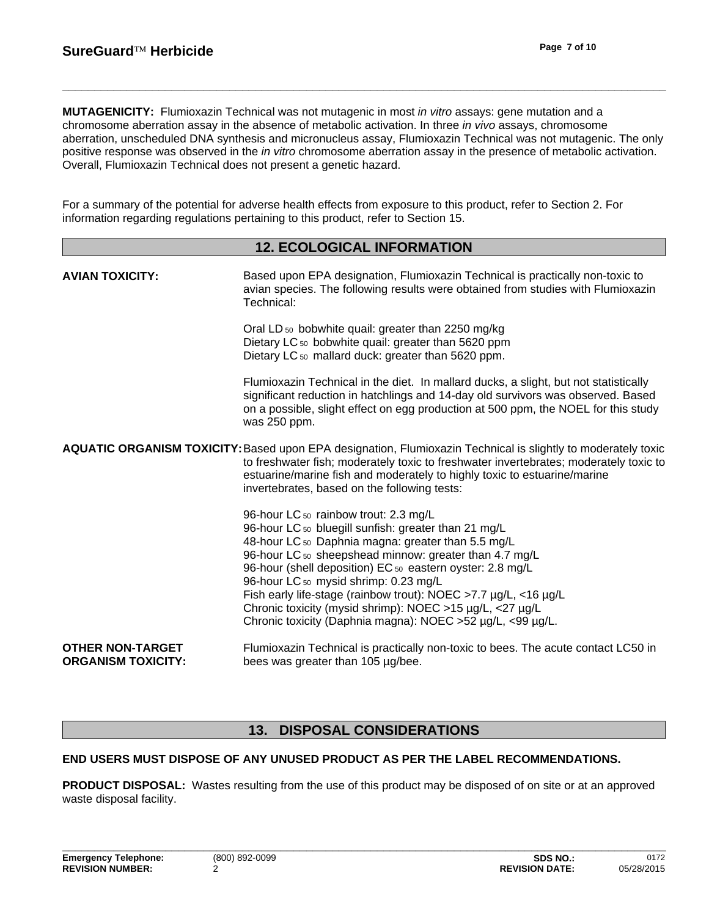**MUTAGENICITY:** Flumioxazin Technical was not mutagenic in most *in vitro* assays: gene mutation and a chromosome aberration assay in the absence of metabolic activation. In three *in vivo* assays, chromosome aberration, unscheduled DNA synthesis and micronucleus assay, Flumioxazin Technical was not mutagenic. The only positive response was observed in the *in vitro* chromosome aberration assay in the presence of metabolic activation. Overall, Flumioxazin Technical does not present a genetic hazard.

For a summary of the potential for adverse health effects from exposure to this product, refer to Section 2. For information regarding regulations pertaining to this product, refer to Section 15.

|                                                      | <b>12. ECOLOGICAL INFORMATION</b>                                                                                                                                                                                                                                                                                                                                                                                                                                                                                |
|------------------------------------------------------|------------------------------------------------------------------------------------------------------------------------------------------------------------------------------------------------------------------------------------------------------------------------------------------------------------------------------------------------------------------------------------------------------------------------------------------------------------------------------------------------------------------|
| <b>AVIAN TOXICITY:</b>                               | Based upon EPA designation, Flumioxazin Technical is practically non-toxic to<br>avian species. The following results were obtained from studies with Flumioxazin<br>Technical:                                                                                                                                                                                                                                                                                                                                  |
|                                                      | Oral LD <sub>50</sub> bobwhite quail: greater than 2250 mg/kg<br>Dietary LC <sub>50</sub> bobwhite quail: greater than 5620 ppm<br>Dietary LC <sub>50</sub> mallard duck: greater than 5620 ppm.                                                                                                                                                                                                                                                                                                                 |
|                                                      | Flumioxazin Technical in the diet. In mallard ducks, a slight, but not statistically<br>significant reduction in hatchlings and 14-day old survivors was observed. Based<br>on a possible, slight effect on egg production at 500 ppm, the NOEL for this study<br>was 250 ppm.                                                                                                                                                                                                                                   |
|                                                      | AQUATIC ORGANISM TOXICITY: Based upon EPA designation, Flumioxazin Technical is slightly to moderately toxic<br>to freshwater fish; moderately toxic to freshwater invertebrates; moderately toxic to<br>estuarine/marine fish and moderately to highly toxic to estuarine/marine<br>invertebrates, based on the following tests:                                                                                                                                                                                |
|                                                      | 96-hour LC 50 rainbow trout: 2.3 mg/L<br>96-hour LC 50 bluegill sunfish: greater than 21 mg/L<br>48-hour LC 50 Daphnia magna: greater than 5.5 mg/L<br>96-hour LC 50 sheepshead minnow: greater than 4.7 mg/L<br>96-hour (shell deposition) EC 50 eastern oyster: 2.8 mg/L<br>96-hour LC 50 mysid shrimp: 0.23 mg/L<br>Fish early life-stage (rainbow trout): NOEC >7.7 µg/L, <16 µg/L<br>Chronic toxicity (mysid shrimp): NOEC >15 µg/L, <27 µg/L<br>Chronic toxicity (Daphnia magna): NOEC >52 µg/L, <99 µg/L. |
| <b>OTHER NON-TARGET</b><br><b>ORGANISM TOXICITY:</b> | Flumioxazin Technical is practically non-toxic to bees. The acute contact LC50 in<br>bees was greater than 105 µg/bee.                                                                                                                                                                                                                                                                                                                                                                                           |

## **13. DISPOSAL CONSIDERATIONS**

### **END USERS MUST DISPOSE OF ANY UNUSED PRODUCT AS PER THE LABEL RECOMMENDATIONS.**

**PRODUCT DISPOSAL:** Wastes resulting from the use of this product may be disposed of on site or at an approved waste disposal facility.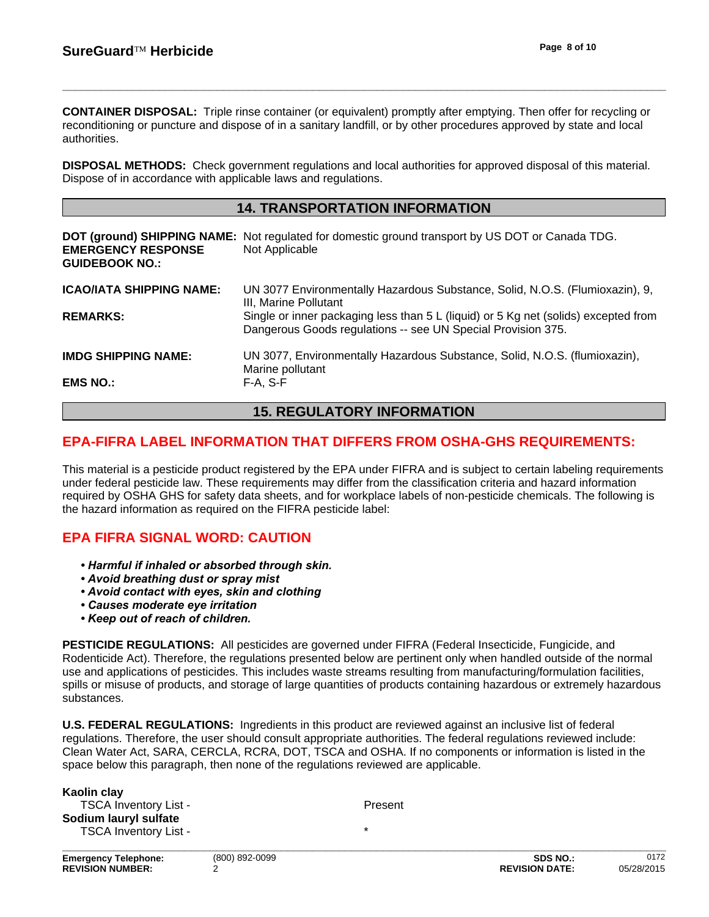**CONTAINER DISPOSAL:** Triple rinse container (or equivalent) promptly after emptying. Then offer for recycling or reconditioning or puncture and dispose of in a sanitary landfill, or by other procedures approved by state and local authorities.

**DISPOSAL METHODS:** Check government regulations and local authorities for approved disposal of this material. Dispose of in accordance with applicable laws and regulations.

## **14. TRANSPORTATION INFORMATION**

| <b>EMERGENCY RESPONSE</b><br><b>GUIDEBOOK NO.:</b> | DOT (ground) SHIPPING NAME: Not regulated for domestic ground transport by US DOT or Canada TDG.<br>Not Applicable                                  |
|----------------------------------------------------|-----------------------------------------------------------------------------------------------------------------------------------------------------|
| <b>ICAO/IATA SHIPPING NAME:</b>                    | UN 3077 Environmentally Hazardous Substance, Solid, N.O.S. (Flumioxazin), 9,<br>III, Marine Pollutant                                               |
| <b>REMARKS:</b>                                    | Single or inner packaging less than 5 L (liquid) or 5 Kg net (solids) excepted from<br>Dangerous Goods regulations -- see UN Special Provision 375. |
| <b>IMDG SHIPPING NAME:</b>                         | UN 3077, Environmentally Hazardous Substance, Solid, N.O.S. (flumioxazin),<br>Marine pollutant                                                      |
| <b>EMS NO.:</b>                                    | F-A. S-F                                                                                                                                            |

## **15. REGULATORY INFORMATION**

## **EPA-FIFRA LABEL INFORMATION THAT DIFFERS FROM OSHA-GHS REQUIREMENTS:**

This material is a pesticide product registered by the EPA under FIFRA and is subject to certain labeling requirements under federal pesticide law. These requirements may differ from the classification criteria and hazard information required by OSHA GHS for safety data sheets, and for workplace labels of non-pesticide chemicals. The following is the hazard information as required on the FIFRA pesticide label:

## **EPA FIFRA SIGNAL WORD: CAUTION**

- *Harmful if inhaled or absorbed through skin.*
- *Avoid breathing dust or spray mist*
- *Avoid contact with eyes, skin and clothing*
- *Causes moderate eye irritation*
- *Keep out of reach of children.*

**PESTICIDE REGULATIONS:** All pesticides are governed under FIFRA (Federal Insecticide, Fungicide, and Rodenticide Act). Therefore, the regulations presented below are pertinent only when handled outside of the normal use and applications of pesticides. This includes waste streams resulting from manufacturing/formulation facilities, spills or misuse of products, and storage of large quantities of products containing hazardous or extremely hazardous substances.

**U.S. FEDERAL REGULATIONS:** Ingredients in this product are reviewed against an inclusive list of federal regulations. Therefore, the user should consult appropriate authorities. The federal regulations reviewed include: Clean Water Act, SARA, CERCLA, RCRA, DOT, TSCA and OSHA. If no components or information is listed in the space below this paragraph, then none of the regulations reviewed are applicable.

| <b>TSCA Inventory List -</b><br>Present |  |
|-----------------------------------------|--|
| Sodium lauryl sulfate                   |  |
| <b>TSCA Inventory List -</b>            |  |
|                                         |  |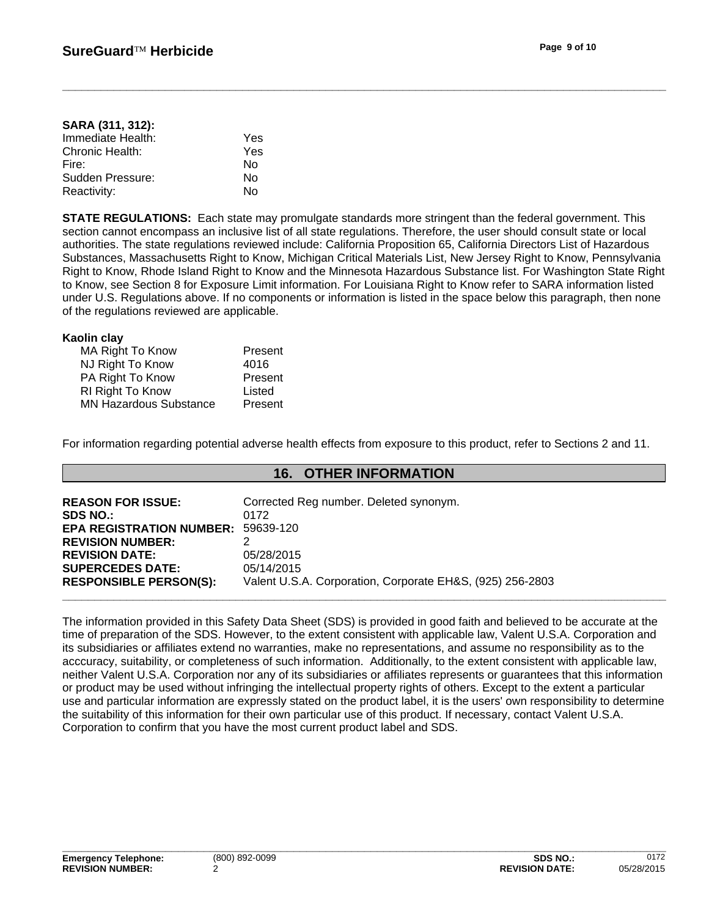#### **SARA (311, 312):** Immediate Health: Yes Chronic Health: Yes Fire: No Sudden Pressure: No Reactivity: No

**STATE REGULATIONS:** Each state may promulgate standards more stringent than the federal government. This section cannot encompass an inclusive list of all state regulations. Therefore, the user should consult state or local authorities. The state regulations reviewed include: California Proposition 65, California Directors List of Hazardous Substances, Massachusetts Right to Know, Michigan Critical Materials List, New Jersey Right to Know, Pennsylvania Right to Know, Rhode Island Right to Know and the Minnesota Hazardous Substance list. For Washington State Right to Know, see Section 8 for Exposure Limit information. For Louisiana Right to Know refer to SARA information listed under U.S. Regulations above. If no components or information is listed in the space below this paragraph, then none of the regulations reviewed are applicable.

### **Kaolin clay**

| MA Right To Know              | Present |
|-------------------------------|---------|
| NJ Right To Know              | 4016    |
| PA Right To Know              | Present |
| <b>RI Right To Know</b>       | Listed  |
| <b>MN Hazardous Substance</b> | Present |

For information regarding potential adverse health effects from exposure to this product, refer to Sections 2 and 11.

## **16. OTHER INFORMATION**

| <b>REASON FOR ISSUE:</b><br><b>SDS NO.:</b> | Corrected Reg number. Deleted synonym.<br>0172            |
|---------------------------------------------|-----------------------------------------------------------|
| <b>EPA REGISTRATION NUMBER:</b>             | 59639-120                                                 |
| <b>REVISION NUMBER:</b>                     |                                                           |
| <b>REVISION DATE:</b>                       | 05/28/2015                                                |
| <b>SUPERCEDES DATE:</b>                     | 05/14/2015                                                |
| <b>RESPONSIBLE PERSON(S):</b>               | Valent U.S.A. Corporation, Corporate EH&S, (925) 256-2803 |
|                                             |                                                           |

The information provided in this Safety Data Sheet (SDS) is provided in good faith and believed to be accurate at the time of preparation of the SDS. However, to the extent consistent with applicable law, Valent U.S.A. Corporation and its subsidiaries or affiliates extend no warranties, make no representations, and assume no responsibility as to the acccuracy, suitability, or completeness of such information. Additionally, to the extent consistent with applicable law, neither Valent U.S.A. Corporation nor any of its subsidiaries or affiliates represents or guarantees that this information or product may be used without infringing the intellectual property rights of others. Except to the extent a particular use and particular information are expressly stated on the product label, it is the users' own responsibility to determine the suitability of this information for their own particular use of this product. If necessary, contact Valent U.S.A. Corporation to confirm that you have the most current product label and SDS.